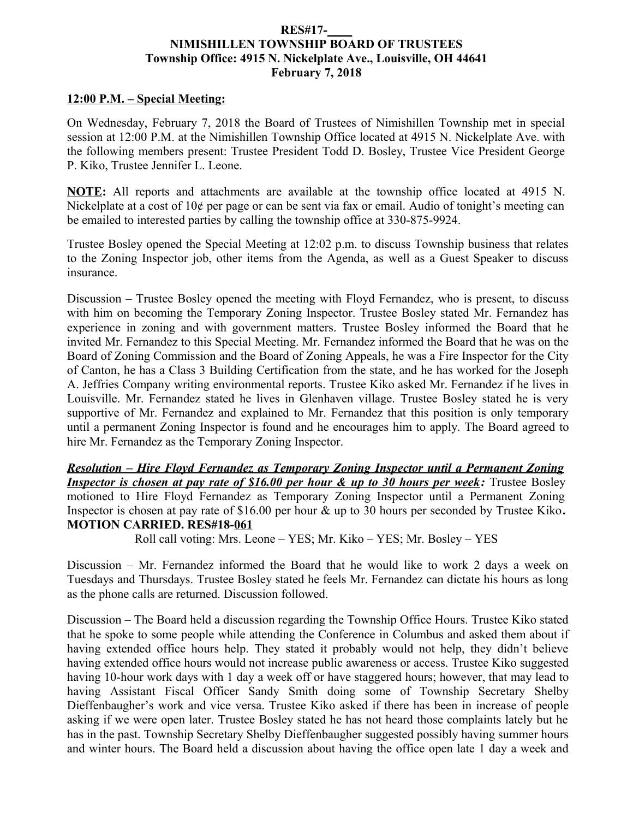## **RES#17-\_\_\_\_ NIMISHILLEN TOWNSHIP BOARD OF TRUSTEES Township Office: 4915 N. Nickelplate Ave., Louisville, OH 44641 February 7, 2018**

## **12:00 P.M. – Special Meeting:**

On Wednesday, February 7, 2018 the Board of Trustees of Nimishillen Township met in special session at 12:00 P.M. at the Nimishillen Township Office located at 4915 N. Nickelplate Ave. with the following members present: Trustee President Todd D. Bosley, Trustee Vice President George P. Kiko, Trustee Jennifer L. Leone.

**NOTE:** All reports and attachments are available at the township office located at 4915 N. Nickelplate at a cost of 10¢ per page or can be sent via fax or email. Audio of tonight's meeting can be emailed to interested parties by calling the township office at 330-875-9924.

Trustee Bosley opened the Special Meeting at 12:02 p.m. to discuss Township business that relates to the Zoning Inspector job, other items from the Agenda, as well as a Guest Speaker to discuss insurance.

Discussion – Trustee Bosley opened the meeting with Floyd Fernandez, who is present, to discuss with him on becoming the Temporary Zoning Inspector. Trustee Bosley stated Mr. Fernandez has experience in zoning and with government matters. Trustee Bosley informed the Board that he invited Mr. Fernandez to this Special Meeting. Mr. Fernandez informed the Board that he was on the Board of Zoning Commission and the Board of Zoning Appeals, he was a Fire Inspector for the City of Canton, he has a Class 3 Building Certification from the state, and he has worked for the Joseph A. Jeffries Company writing environmental reports. Trustee Kiko asked Mr. Fernandez if he lives in Louisville. Mr. Fernandez stated he lives in Glenhaven village. Trustee Bosley stated he is very supportive of Mr. Fernandez and explained to Mr. Fernandez that this position is only temporary until a permanent Zoning Inspector is found and he encourages him to apply. The Board agreed to hire Mr. Fernandez as the Temporary Zoning Inspector.

*Resolution – Hire Floyd Fernandez as Temporary Zoning Inspector until a Permanent Zoning* **Inspector is chosen at pay rate of \$16.00 per hour & up to 30 hours per week:** Trustee Bosley motioned to Hire Floyd Fernandez as Temporary Zoning Inspector until a Permanent Zoning Inspector is chosen at pay rate of \$16.00 per hour & up to 30 hours per seconded by Trustee Kiko**. MOTION CARRIED. RES#18-061**

Roll call voting: Mrs. Leone – YES; Mr. Kiko – YES; Mr. Bosley – YES

Discussion – Mr. Fernandez informed the Board that he would like to work 2 days a week on Tuesdays and Thursdays. Trustee Bosley stated he feels Mr. Fernandez can dictate his hours as long as the phone calls are returned. Discussion followed.

Discussion – The Board held a discussion regarding the Township Office Hours. Trustee Kiko stated that he spoke to some people while attending the Conference in Columbus and asked them about if having extended office hours help. They stated it probably would not help, they didn't believe having extended office hours would not increase public awareness or access. Trustee Kiko suggested having 10-hour work days with 1 day a week off or have staggered hours; however, that may lead to having Assistant Fiscal Officer Sandy Smith doing some of Township Secretary Shelby Dieffenbaugher's work and vice versa. Trustee Kiko asked if there has been in increase of people asking if we were open later. Trustee Bosley stated he has not heard those complaints lately but he has in the past. Township Secretary Shelby Dieffenbaugher suggested possibly having summer hours and winter hours. The Board held a discussion about having the office open late 1 day a week and